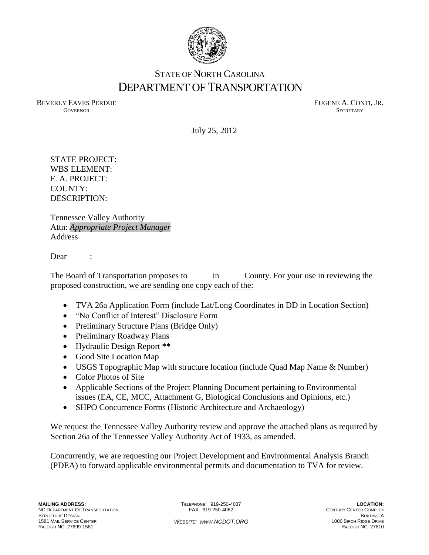

## STATE OF NORTH CAROLINA DEPARTMENT OF TRANSPORTATION

BEVERLY EAVES PERDUE **EUGENE A. CONTI, JR. GOVERNOR SECRETARY** SECRETARY

July 25, 2012

STATE PROJECT: WBS ELEMENT: F. A. PROJECT: COUNTY: DESCRIPTION:

Tennessee Valley Authority Attn: *Appropriate Project Manager* **Address** 

Dear :

The Board of Transportation proposes to in County. For your use in reviewing the proposed construction, we are sending one copy each of the:

- TVA 26a Application Form (include Lat/Long Coordinates in DD in Location Section)
- "No Conflict of Interest" Disclosure Form
- Preliminary Structure Plans (Bridge Only)
- Preliminary Roadway Plans
- Hydraulic Design Report **\*\***
- Good Site Location Map
- USGS Topographic Map with structure location (include Quad Map Name & Number)
- Color Photos of Site
- Applicable Sections of the Project Planning Document pertaining to Environmental issues (EA, CE, MCC, Attachment G, Biological Conclusions and Opinions, etc.)
- SHPO Concurrence Forms (Historic Architecture and Archaeology)

We request the Tennessee Valley Authority review and approve the attached plans as required by Section 26a of the Tennessee Valley Authority Act of 1933, as amended.

Concurrently, we are requesting our Project Development and Environmental Analysis Branch (PDEA) to forward applicable environmental permits and documentation to TVA for review.

TELEPHONE: 919-250-4037 FAX: 919-250-4082

**LOCATION:** CENTURY CENTER COMPLEX **BUILDING A** 1000 BIRCH RIDGE DRIVE RALEIGH NC 27610

*WEBSITE: WWW.NCDOT.ORG*